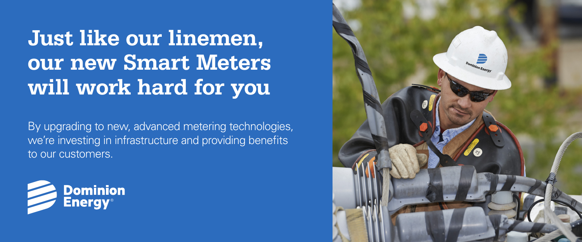## **Just like our linemen, our new Smart Meters will work hard for you**

By upgrading to new, advanced metering technologies, we're investing in infrastructure and providing benefits to our customers.